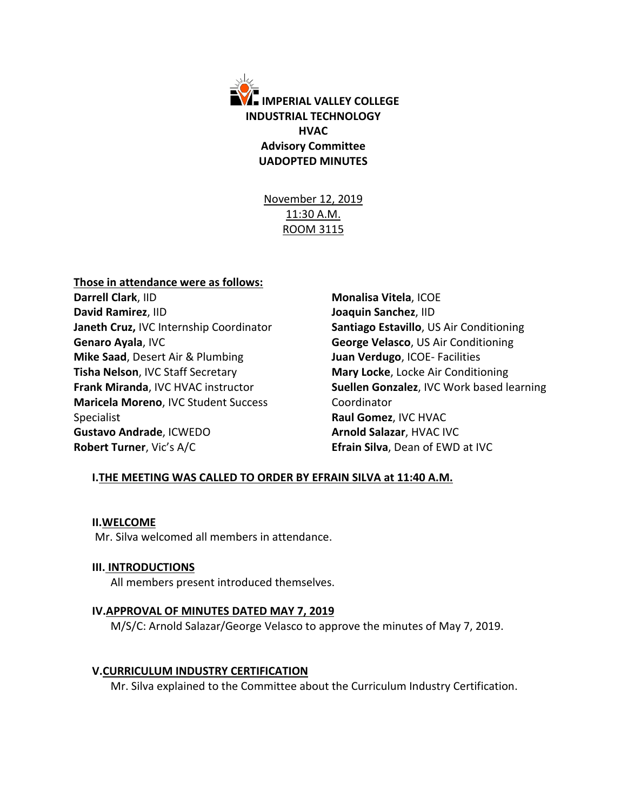

November 12, 2019 11:30 A.M. ROOM 3115

## **Those in attendance were as follows:**

**Darrell Clark**, IID **David Ramirez**, IID **Janeth Cruz,** IVC Internship Coordinator **Genaro Ayala**, IVC **Mike Saad**, Desert Air & Plumbing **Tisha Nelson**, IVC Staff Secretary **Frank Miranda**, IVC HVAC instructor **Maricela Moreno**, IVC Student Success Specialist **Gustavo Andrade**, ICWEDO **Robert Turner**, Vic's A/C

**Monalisa Vitela**, ICOE **Joaquin Sanchez**, IID **Santiago Estavillo**, US Air Conditioning **George Velasco**, US Air Conditioning **Juan Verdugo**, ICOE- Facilities **Mary Locke**, Locke Air Conditioning **Suellen Gonzalez**, IVC Work based learning Coordinator **Raul Gomez**, IVC HVAC **Arnold Salazar**, HVAC IVC **Efrain Silva**, Dean of EWD at IVC

# **I.THE MEETING WAS CALLED TO ORDER BY EFRAIN SILVA at 11:40 A.M.**

### **II.WELCOME**

Mr. Silva welcomed all members in attendance.

### **III. INTRODUCTIONS**

All members present introduced themselves.

### **IV.APPROVAL OF MINUTES DATED MAY 7, 2019**

M/S/C: Arnold Salazar/George Velasco to approve the minutes of May 7, 2019.

### **V.CURRICULUM INDUSTRY CERTIFICATION**

Mr. Silva explained to the Committee about the Curriculum Industry Certification.